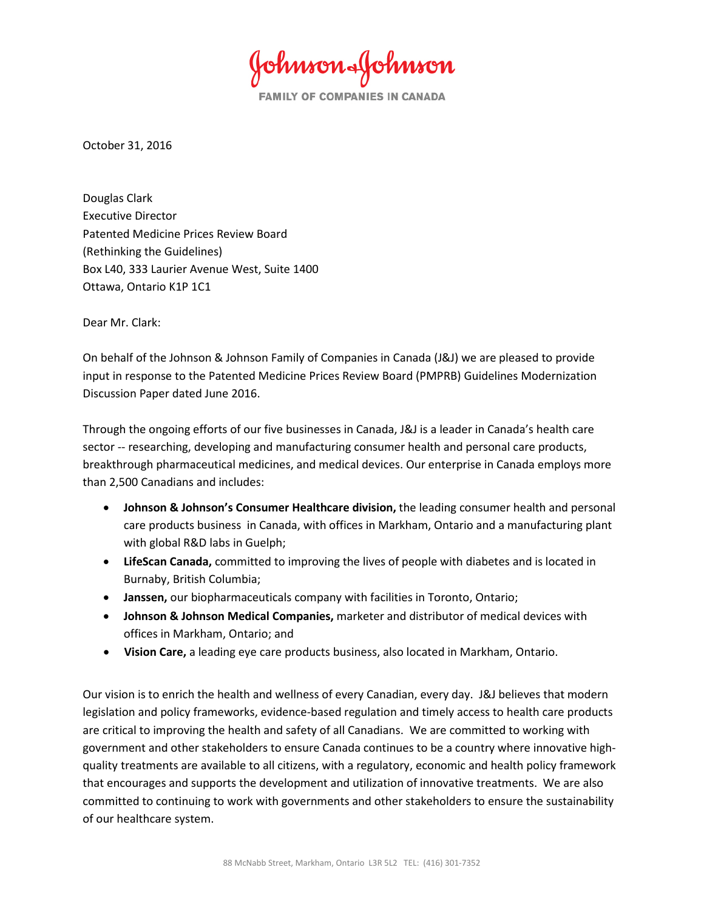ohnson&fohnson

**FAMILY OF COMPANIES IN CANADA** 

October 31, 2016

Douglas Clark Executive Director Patented Medicine Prices Review Board (Rethinking the Guidelines) Box L40, 333 Laurier Avenue West, Suite 1400 Ottawa, Ontario K1P 1C1

Dear Mr. Clark:

On behalf of the Johnson & Johnson Family of Companies in Canada (J&J) we are pleased to provide input in response to the Patented Medicine Prices Review Board (PMPRB) Guidelines Modernization Discussion Paper dated June 2016.

Through the ongoing efforts of our five businesses in Canada, J&J is a leader in Canada's health care sector -- researching, developing and manufacturing consumer health and personal care products, breakthrough pharmaceutical medicines, and medical devices. Our enterprise in Canada employs more than 2,500 Canadians and includes:

- **Johnson & Johnson's Consumer Healthcare division,** the leading consumer health and personal care products business in Canada, with offices in Markham, Ontario and a manufacturing plant with global R&D labs in Guelph;
- **LifeScan Canada,** committed to improving the lives of people with diabetes and is located in Burnaby, British Columbia;
- **Janssen,** our biopharmaceuticals company with facilities in Toronto, Ontario;
- **Johnson & Johnson Medical Companies,** marketer and distributor of medical devices with offices in Markham, Ontario; and
- **Vision Care,** a leading eye care products business, also located in Markham, Ontario.

Our vision is to enrich the health and wellness of every Canadian, every day. J&J believes that modern legislation and policy frameworks, evidence-based regulation and timely access to health care products are critical to improving the health and safety of all Canadians. We are committed to working with government and other stakeholders to ensure Canada continues to be a country where innovative highquality treatments are available to all citizens, with a regulatory, economic and health policy framework that encourages and supports the development and utilization of innovative treatments. We are also committed to continuing to work with governments and other stakeholders to ensure the sustainability of our healthcare system.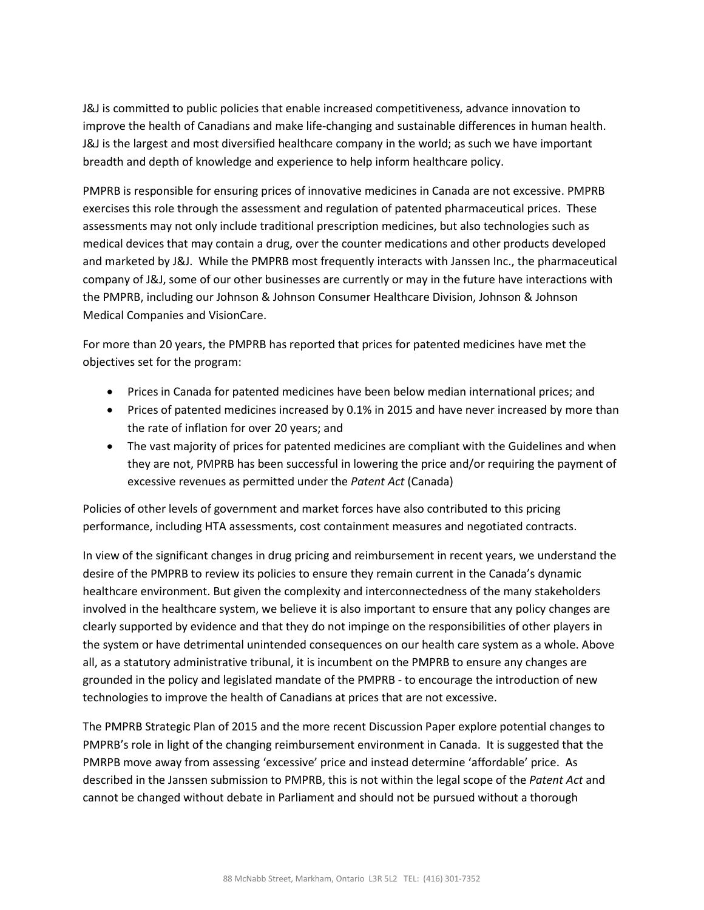J&J is committed to public policies that enable increased competitiveness, advance innovation to improve the health of Canadians and make life-changing and sustainable differences in human health. J&J is the largest and most diversified healthcare company in the world; as such we have important breadth and depth of knowledge and experience to help inform healthcare policy.

PMPRB is responsible for ensuring prices of innovative medicines in Canada are not excessive. PMPRB exercises this role through the assessment and regulation of patented pharmaceutical prices. These assessments may not only include traditional prescription medicines, but also technologies such as medical devices that may contain a drug, over the counter medications and other products developed and marketed by J&J. While the PMPRB most frequently interacts with Janssen Inc., the pharmaceutical company of J&J, some of our other businesses are currently or may in the future have interactions with the PMPRB, including our Johnson & Johnson Consumer Healthcare Division, Johnson & Johnson Medical Companies and VisionCare.

For more than 20 years, the PMPRB has reported that prices for patented medicines have met the objectives set for the program:

- Prices in Canada for patented medicines have been below median international prices; and
- Prices of patented medicines increased by 0.1% in 2015 and have never increased by more than the rate of inflation for over 20 years; and
- The vast majority of prices for patented medicines are compliant with the Guidelines and when they are not, PMPRB has been successful in lowering the price and/or requiring the payment of excessive revenues as permitted under the *Patent Act* (Canada)

Policies of other levels of government and market forces have also contributed to this pricing performance, including HTA assessments, cost containment measures and negotiated contracts.

In view of the significant changes in drug pricing and reimbursement in recent years, we understand the desire of the PMPRB to review its policies to ensure they remain current in the Canada's dynamic healthcare environment. But given the complexity and interconnectedness of the many stakeholders involved in the healthcare system, we believe it is also important to ensure that any policy changes are clearly supported by evidence and that they do not impinge on the responsibilities of other players in the system or have detrimental unintended consequences on our health care system as a whole. Above all, as a statutory administrative tribunal, it is incumbent on the PMPRB to ensure any changes are grounded in the policy and legislated mandate of the PMPRB - to encourage the introduction of new technologies to improve the health of Canadians at prices that are not excessive.

The PMPRB Strategic Plan of 2015 and the more recent Discussion Paper explore potential changes to PMPRB's role in light of the changing reimbursement environment in Canada. It is suggested that the PMRPB move away from assessing 'excessive' price and instead determine 'affordable' price. As described in the Janssen submission to PMPRB, this is not within the legal scope of the *Patent Act* and cannot be changed without debate in Parliament and should not be pursued without a thorough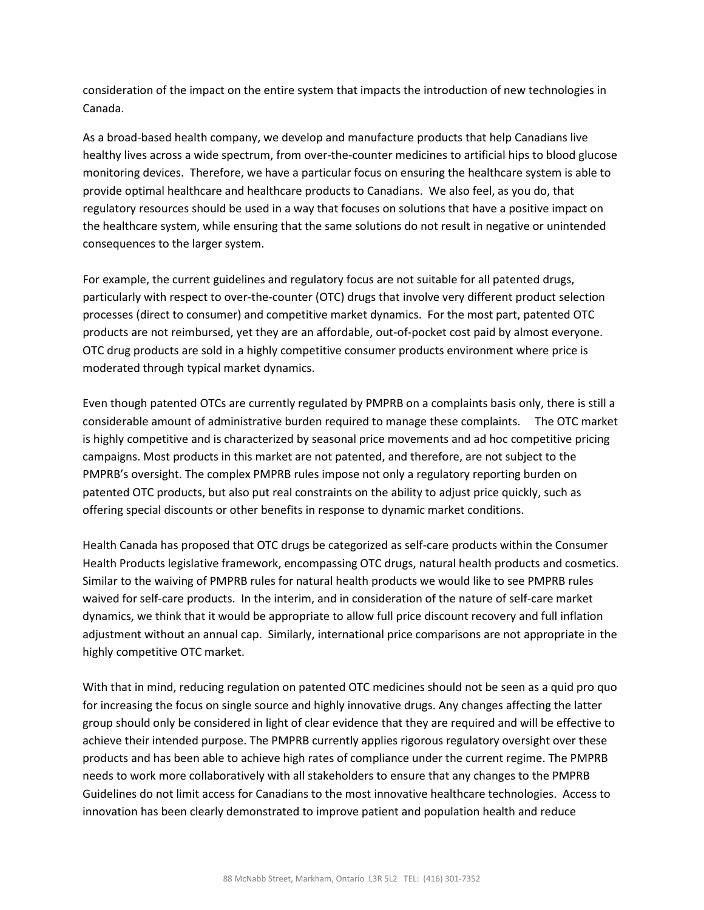consideration of the impact on the entire system that impacts the introduction of new technologies in Canada.

As a broad-based health company, we develop and manufacture products that help Canadians live healthy lives across a wide spectrum, from over-the-counter medicines to artificial hips to blood glucose monitoring devices. Therefore, we have a particular focus on ensuring the healthcare system is able to provide optimal healthcare and healthcare products to Canadians. We also feel, as you do, that regulatory resources should be used in a way that focuses on solutions that have a positive impact on the healthcare system, while ensuring that the same solutions do not result in negative or unintended consequences to the larger system.

For example, the current guidelines and regulatory focus are not suitable for all patented drugs, particularly with respect to over-the-counter (OTC) drugs that involve very different product selection processes (direct to consumer) and competitive market dynamics. For the most part, patented OTC products are not reimbursed, yet they are an affordable, out-of-pocket cost paid by almost everyone. OTC drug products are sold in a highly competitive consumer products environment where price is moderated through typical market dynamics.

Even though patented OTCs are currently regulated by PMPRB on a complaints basis only, there is still a considerable amount of administrative burden required to manage these complaints. The OTC market is highly competitive and is characterized by seasonal price movements and ad hoc competitive pricing campaigns. Most products in this market are not patented, and therefore, are not subject to the PMPRB's oversight. The complex PMPRB rules impose not only a regulatory reporting burden on patented OTC products, but also put real constraints on the ability to adjust price quickly, such as offering special discounts or other benefits in response to dynamic market conditions.

Health Canada has proposed that OTC drugs be categorized as self-care products within the Consumer Health Products legislative framework, encompassing OTC drugs, natural health products and cosmetics. Similar to the waiving of PMPRB rules for natural health products we would like to see PMPRB rules waived for self-care products. In the interim, and in consideration of the nature of self-care market dynamics, we think that it would be appropriate to allow full price discount recovery and full inflation adjustment without an annual cap. Similarly, international price comparisons are not appropriate in the highly competitive OTC market.

With that in mind, reducing regulation on patented OTC medicines should not be seen as a quid pro quo for increasing the focus on single source and highly innovative drugs. Any changes affecting the latter group should only be considered in light of clear evidence that they are required and will be effective to achieve their intended purpose. The PMPRB currently applies rigorous regulatory oversight over these products and has been able to achieve high rates of compliance under the current regime. The PMPRB needs to work more collaboratively with all stakeholders to ensure that any changes to the PMPRB Guidelines do not limit access for Canadians to the most innovative healthcare technologies. Access to innovation has been clearly demonstrated to improve patient and population health and reduce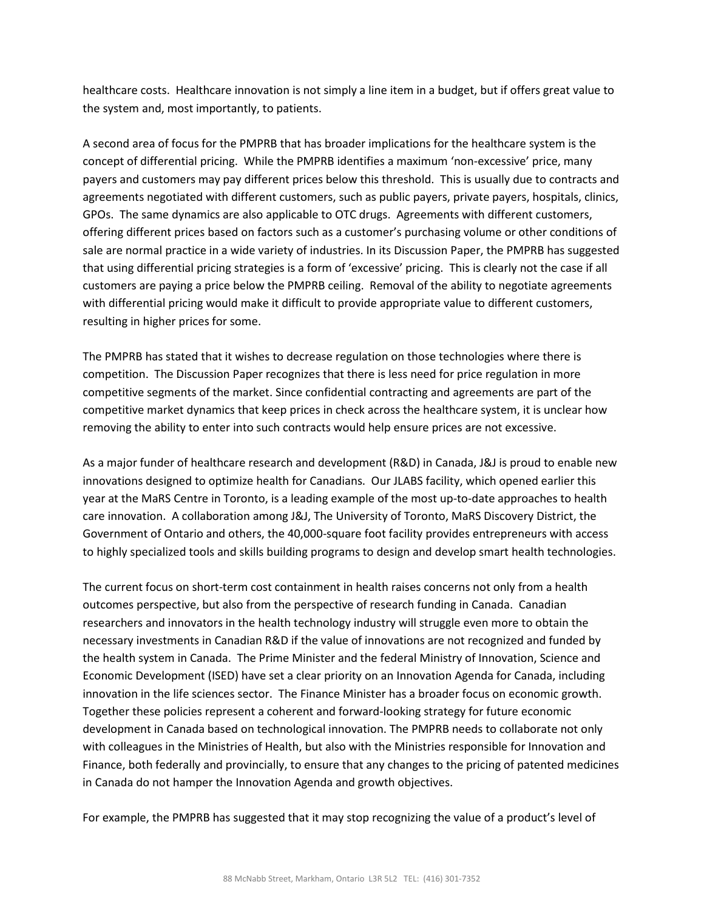healthcare costs. Healthcare innovation is not simply a line item in a budget, but if offers great value to the system and, most importantly, to patients.

A second area of focus for the PMPRB that has broader implications for the healthcare system is the concept of differential pricing. While the PMPRB identifies a maximum 'non-excessive' price, many payers and customers may pay different prices below this threshold. This is usually due to contracts and agreements negotiated with different customers, such as public payers, private payers, hospitals, clinics, GPOs. The same dynamics are also applicable to OTC drugs. Agreements with different customers, offering different prices based on factors such as a customer's purchasing volume or other conditions of sale are normal practice in a wide variety of industries. In its Discussion Paper, the PMPRB has suggested that using differential pricing strategies is a form of 'excessive' pricing. This is clearly not the case if all customers are paying a price below the PMPRB ceiling. Removal of the ability to negotiate agreements with differential pricing would make it difficult to provide appropriate value to different customers, resulting in higher prices for some.

The PMPRB has stated that it wishes to decrease regulation on those technologies where there is competition. The Discussion Paper recognizes that there is less need for price regulation in more competitive segments of the market. Since confidential contracting and agreements are part of the competitive market dynamics that keep prices in check across the healthcare system, it is unclear how removing the ability to enter into such contracts would help ensure prices are not excessive.

As a major funder of healthcare research and development (R&D) in Canada, J&J is proud to enable new innovations designed to optimize health for Canadians. Our JLABS facility, which opened earlier this year at the MaRS Centre in Toronto, is a leading example of the most up-to-date approaches to health care innovation. A collaboration among J&J, The University of Toronto, MaRS Discovery District, the Government of Ontario and others, the 40,000-square foot facility provides entrepreneurs with access to highly specialized tools and skills building programs to design and develop smart health technologies.

The current focus on short-term cost containment in health raises concerns not only from a health outcomes perspective, but also from the perspective of research funding in Canada. Canadian researchers and innovators in the health technology industry will struggle even more to obtain the necessary investments in Canadian R&D if the value of innovations are not recognized and funded by the health system in Canada. The Prime Minister and the federal Ministry of Innovation, Science and Economic Development (ISED) have set a clear priority on an Innovation Agenda for Canada, including innovation in the life sciences sector. The Finance Minister has a broader focus on economic growth. Together these policies represent a coherent and forward-looking strategy for future economic development in Canada based on technological innovation. The PMPRB needs to collaborate not only with colleagues in the Ministries of Health, but also with the Ministries responsible for Innovation and Finance, both federally and provincially, to ensure that any changes to the pricing of patented medicines in Canada do not hamper the Innovation Agenda and growth objectives.

For example, the PMPRB has suggested that it may stop recognizing the value of a product's level of